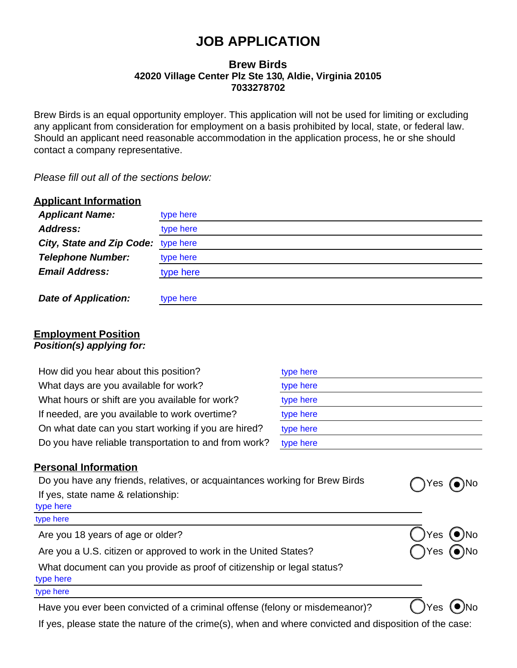# **JOB APPLICATION**

## **Brew Birds 42020 Village Center Plz Ste 130, Aldie, Virginia 20105 7033278702**

Brew Birds is an equal opportunity employer. This application will not be used for limiting or excluding any applicant from consideration for employment on a basis prohibited by local, state, or federal law. Should an applicant need reasonable accommodation in the application process, he or she should contact a company representative.

*Please fill out all of the sections below:*

| <b>Applicant Information</b>     |           |
|----------------------------------|-----------|
| <b>Applicant Name:</b>           | type here |
| <b>Address:</b>                  | type here |
| <b>City, State and Zip Code:</b> | type here |
| <b>Telephone Number:</b>         | type here |
| <b>Email Address:</b>            | type here |
|                                  |           |
| <b>Date of Application:</b>      | type here |

#### **Employment Position** *Position(s) applying for:*

| How did you hear about this position?                 | type here |
|-------------------------------------------------------|-----------|
| What days are you available for work?                 | type here |
| What hours or shift are you available for work?       | type here |
| If needed, are you available to work overtime?        | type here |
| On what date can you start working if you are hired?  | type here |
| Do you have reliable transportation to and from work? | type here |

## **Personal Information**

| Do you have any friends, relatives, or acquaintances working for Brew Birds<br>If yes, state name & relationship:<br>type here | $Yes$ (a)No                 |
|--------------------------------------------------------------------------------------------------------------------------------|-----------------------------|
| type here                                                                                                                      |                             |
| Are you 18 years of age or older?                                                                                              | 'JYes (ONo                  |
| Are you a U.S. citizen or approved to work in the United States?                                                               | $\bigcap$ Yes $\bigodot$ No |
| What document can you provide as proof of citizenship or legal status?<br>type here                                            |                             |
| type here                                                                                                                      |                             |
|                                                                                                                                |                             |

Have you ever been convicted of a criminal offense (felony or misdemeanor)?  $\bigcup$  Yes  $\bigcirc$  No

If yes, please state the nature of the crime(s), when and where convicted and disposition of the case: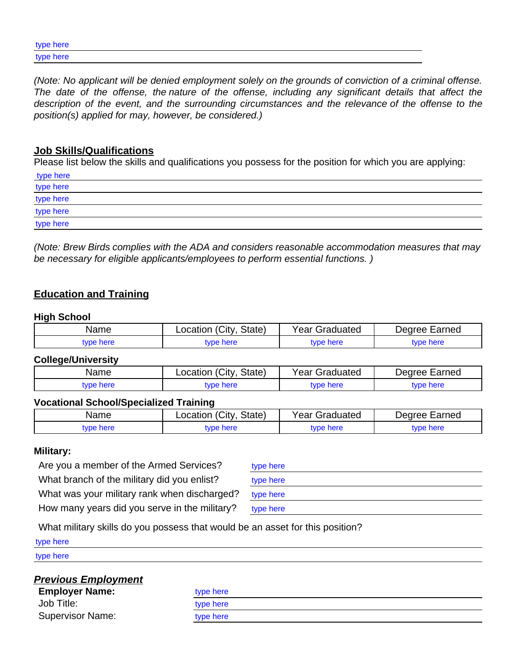| type here |  |
|-----------|--|
| type here |  |

*(Note: No applicant will be denied employment solely on the grounds of conviction of a criminal offense. The date of the offense, the nature of the offense, including any significant details that affect the description of the event, and the surrounding circumstances and the relevance of the offense to the position(s) applied for may, however, be considered.)*

#### **Job Skills/Qualifications**

Please list below the skills and qualifications you possess for the position for which you are applying:

| type here |  |
|-----------|--|
| type here |  |
| type here |  |
| type here |  |
| type here |  |

*(Note: Brew Birds complies with the ADA and considers reasonable accommodation measures that may be necessary for eligible applicants/employees to perform essential functions. )*

# **Education and Training**

#### **High School**

| Name      | (City<br>State)<br>.ocation | Year<br>Graduated | Earned<br>Dearee ' |
|-----------|-----------------------------|-------------------|--------------------|
| vpe here: | tvpe here                   | type here         | tvpe here          |

#### **College/University**

| Name      | Location (City,<br>'. State) | Year Graduated | Degree Earned |
|-----------|------------------------------|----------------|---------------|
| tvpe here | tvpe here                    | tvpe here      | tvpe here     |

#### **Vocational School/Specialized Training**

| Name     | ′Citv∶<br>State)<br>_ocation | Year<br>iraduated    | Earned<br>AA1nAC |
|----------|------------------------------|----------------------|------------------|
| vpe here | wpe here                     | nerr .<br>$\sqrt{2}$ | la herri         |

#### **Military:**

Are you a member of the Armed Services? What branch of the military did you enlist? What was your military rank when discharged? How many years did you serve in the military?

| type here |  |  |
|-----------|--|--|
| type here |  |  |
| type here |  |  |
| type here |  |  |

What military skills do you possess that would be an asset for this position?

| type here                  |           |  |
|----------------------------|-----------|--|
| type here                  |           |  |
| <b>Previous Employment</b> |           |  |
| <b>Employer Name:</b>      | type here |  |
| Job Title:                 | type here |  |
| <b>Supervisor Name:</b>    | type here |  |